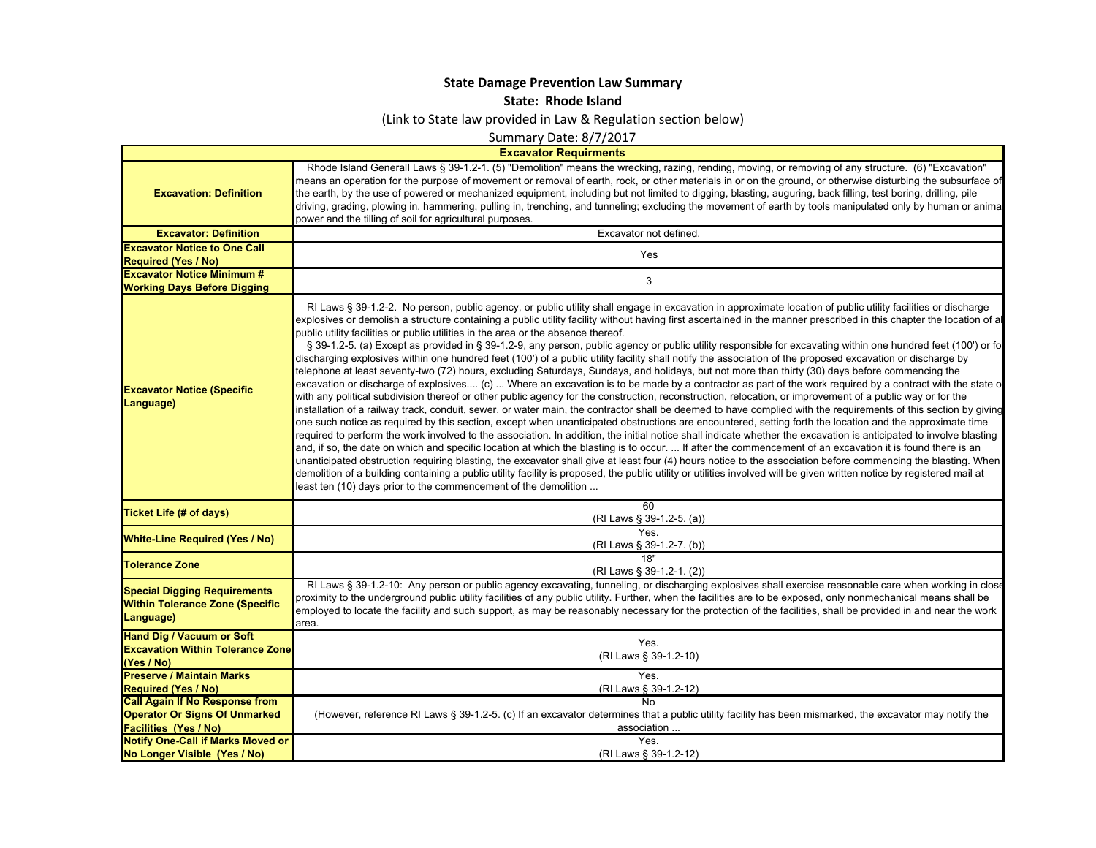## **State Damage Prevention Law Summary**

**State: Rhode Island**

(Link to State law provided in Law & Regulation section below)

Summary Date: 8/7/2017

**Excavator Requirments**

 $\blacksquare$ 

| <b>Excavation: Definition</b>                                                              | Rhode Island Generall Laws § 39-1.2-1. (5) "Demolition" means the wrecking, razing, rending, moving, or removing of any structure. (6) "Excavation"<br>means an operation for the purpose of movement or removal of earth, rock, or other materials in or on the ground, or otherwise disturbing the subsurface of<br>the earth, by the use of powered or mechanized equipment, including but not limited to digging, blasting, auguring, back filling, test boring, drilling, pile<br>driving, grading, plowing in, hammering, pulling in, trenching, and tunneling; excluding the movement of earth by tools manipulated only by human or anima<br>power and the tilling of soil for agricultural purposes.                                                                                                                                                                                                                                                                                                                                                                                                                                                                                                                                                                                                                                                                                                                                                                                                                                                                                                                                                                                                                                                                                                                                                                                                                                                                                                                                                                                                                                                                                                                                                                                                         |
|--------------------------------------------------------------------------------------------|-----------------------------------------------------------------------------------------------------------------------------------------------------------------------------------------------------------------------------------------------------------------------------------------------------------------------------------------------------------------------------------------------------------------------------------------------------------------------------------------------------------------------------------------------------------------------------------------------------------------------------------------------------------------------------------------------------------------------------------------------------------------------------------------------------------------------------------------------------------------------------------------------------------------------------------------------------------------------------------------------------------------------------------------------------------------------------------------------------------------------------------------------------------------------------------------------------------------------------------------------------------------------------------------------------------------------------------------------------------------------------------------------------------------------------------------------------------------------------------------------------------------------------------------------------------------------------------------------------------------------------------------------------------------------------------------------------------------------------------------------------------------------------------------------------------------------------------------------------------------------------------------------------------------------------------------------------------------------------------------------------------------------------------------------------------------------------------------------------------------------------------------------------------------------------------------------------------------------------------------------------------------------------------------------------------------------|
| <b>Excavator: Definition</b>                                                               | Excavator not defined.                                                                                                                                                                                                                                                                                                                                                                                                                                                                                                                                                                                                                                                                                                                                                                                                                                                                                                                                                                                                                                                                                                                                                                                                                                                                                                                                                                                                                                                                                                                                                                                                                                                                                                                                                                                                                                                                                                                                                                                                                                                                                                                                                                                                                                                                                                |
| <b>Excavator Notice to One Call</b>                                                        |                                                                                                                                                                                                                                                                                                                                                                                                                                                                                                                                                                                                                                                                                                                                                                                                                                                                                                                                                                                                                                                                                                                                                                                                                                                                                                                                                                                                                                                                                                                                                                                                                                                                                                                                                                                                                                                                                                                                                                                                                                                                                                                                                                                                                                                                                                                       |
| <b>Required (Yes / No)</b>                                                                 | Yes                                                                                                                                                                                                                                                                                                                                                                                                                                                                                                                                                                                                                                                                                                                                                                                                                                                                                                                                                                                                                                                                                                                                                                                                                                                                                                                                                                                                                                                                                                                                                                                                                                                                                                                                                                                                                                                                                                                                                                                                                                                                                                                                                                                                                                                                                                                   |
| <b>Excavator Notice Minimum #</b>                                                          |                                                                                                                                                                                                                                                                                                                                                                                                                                                                                                                                                                                                                                                                                                                                                                                                                                                                                                                                                                                                                                                                                                                                                                                                                                                                                                                                                                                                                                                                                                                                                                                                                                                                                                                                                                                                                                                                                                                                                                                                                                                                                                                                                                                                                                                                                                                       |
| <b>Working Days Before Digging</b>                                                         | 3                                                                                                                                                                                                                                                                                                                                                                                                                                                                                                                                                                                                                                                                                                                                                                                                                                                                                                                                                                                                                                                                                                                                                                                                                                                                                                                                                                                                                                                                                                                                                                                                                                                                                                                                                                                                                                                                                                                                                                                                                                                                                                                                                                                                                                                                                                                     |
| <b>Excavator Notice (Specific</b><br>Language)                                             | RI Laws § 39-1.2-2. No person, public agency, or public utility shall engage in excavation in approximate location of public utility facilities or discharge<br>explosives or demolish a structure containing a public utility facility without having first ascertained in the manner prescribed in this chapter the location of al<br>public utility facilities or public utilities in the area or the absence thereof.<br>§ 39-1.2-5. (a) Except as provided in § 39-1.2-9, any person, public agency or public utility responsible for excavating within one hundred feet (100') or fo<br>discharging explosives within one hundred feet (100') of a public utility facility shall notify the association of the proposed excavation or discharge by<br>telephone at least seventy-two (72) hours, excluding Saturdays, Sundays, and holidays, but not more than thirty (30) days before commencing the<br>excavation or discharge of explosives (c)  Where an excavation is to be made by a contractor as part of the work required by a contract with the state o<br>with any political subdivision thereof or other public agency for the construction, reconstruction, relocation, or improvement of a public way or for the<br>installation of a railway track, conduit, sewer, or water main, the contractor shall be deemed to have complied with the requirements of this section by giving<br>one such notice as required by this section, except when unanticipated obstructions are encountered, setting forth the location and the approximate time<br>required to perform the work involved to the association. In addition, the initial notice shall indicate whether the excavation is anticipated to involve blasting<br>and, if so, the date on which and specific location at which the blasting is to occur.  If after the commencement of an excavation it is found there is an<br>unanticipated obstruction requiring blasting, the excavator shall give at least four (4) hours notice to the association before commencing the blasting. When<br>demolition of a building containing a public utility facility is proposed, the public utility or utilities involved will be given written notice by registered mail at<br>least ten (10) days prior to the commencement of the demolition |
| <b>Ticket Life (# of days)</b>                                                             | 60<br>(RI Laws § 39-1.2-5. (a))                                                                                                                                                                                                                                                                                                                                                                                                                                                                                                                                                                                                                                                                                                                                                                                                                                                                                                                                                                                                                                                                                                                                                                                                                                                                                                                                                                                                                                                                                                                                                                                                                                                                                                                                                                                                                                                                                                                                                                                                                                                                                                                                                                                                                                                                                       |
| <b>White-Line Required (Yes / No)</b>                                                      | <b>Yes</b><br>(RI Laws § 39-1.2-7. (b))                                                                                                                                                                                                                                                                                                                                                                                                                                                                                                                                                                                                                                                                                                                                                                                                                                                                                                                                                                                                                                                                                                                                                                                                                                                                                                                                                                                                                                                                                                                                                                                                                                                                                                                                                                                                                                                                                                                                                                                                                                                                                                                                                                                                                                                                               |
| <b>Tolerance Zone</b>                                                                      | 18"<br>(RI Laws § 39-1.2-1. (2))                                                                                                                                                                                                                                                                                                                                                                                                                                                                                                                                                                                                                                                                                                                                                                                                                                                                                                                                                                                                                                                                                                                                                                                                                                                                                                                                                                                                                                                                                                                                                                                                                                                                                                                                                                                                                                                                                                                                                                                                                                                                                                                                                                                                                                                                                      |
| <b>Special Digging Requirements</b><br><b>Within Tolerance Zone (Specific</b><br>Language) | RI Laws § 39-1.2-10: Any person or public agency excavating, tunneling, or discharging explosives shall exercise reasonable care when working in close<br>proximity to the underground public utility facilities of any public utility. Further, when the facilities are to be exposed, only nonmechanical means shall be<br>employed to locate the facility and such support, as may be reasonably necessary for the protection of the facilities, shall be provided in and near the work<br>area.                                                                                                                                                                                                                                                                                                                                                                                                                                                                                                                                                                                                                                                                                                                                                                                                                                                                                                                                                                                                                                                                                                                                                                                                                                                                                                                                                                                                                                                                                                                                                                                                                                                                                                                                                                                                                   |
| <b>Hand Dig / Vacuum or Soft</b><br><b>Excavation Within Tolerance Zone</b><br>(Yes / No)  | Yes.<br>(RI Laws § 39-1.2-10)                                                                                                                                                                                                                                                                                                                                                                                                                                                                                                                                                                                                                                                                                                                                                                                                                                                                                                                                                                                                                                                                                                                                                                                                                                                                                                                                                                                                                                                                                                                                                                                                                                                                                                                                                                                                                                                                                                                                                                                                                                                                                                                                                                                                                                                                                         |
| <b>Preserve / Maintain Marks</b>                                                           | Yes.                                                                                                                                                                                                                                                                                                                                                                                                                                                                                                                                                                                                                                                                                                                                                                                                                                                                                                                                                                                                                                                                                                                                                                                                                                                                                                                                                                                                                                                                                                                                                                                                                                                                                                                                                                                                                                                                                                                                                                                                                                                                                                                                                                                                                                                                                                                  |
| <b>Required (Yes / No)</b>                                                                 | (RI Laws § 39-1.2-12)                                                                                                                                                                                                                                                                                                                                                                                                                                                                                                                                                                                                                                                                                                                                                                                                                                                                                                                                                                                                                                                                                                                                                                                                                                                                                                                                                                                                                                                                                                                                                                                                                                                                                                                                                                                                                                                                                                                                                                                                                                                                                                                                                                                                                                                                                                 |
| <b>Call Again If No Response from</b>                                                      | $\overline{N}$                                                                                                                                                                                                                                                                                                                                                                                                                                                                                                                                                                                                                                                                                                                                                                                                                                                                                                                                                                                                                                                                                                                                                                                                                                                                                                                                                                                                                                                                                                                                                                                                                                                                                                                                                                                                                                                                                                                                                                                                                                                                                                                                                                                                                                                                                                        |
| <b>Operator Or Signs Of Unmarked</b>                                                       | (However, reference RI Laws § 39-1.2-5. (c) If an excavator determines that a public utility facility has been mismarked, the excavator may notify the                                                                                                                                                                                                                                                                                                                                                                                                                                                                                                                                                                                                                                                                                                                                                                                                                                                                                                                                                                                                                                                                                                                                                                                                                                                                                                                                                                                                                                                                                                                                                                                                                                                                                                                                                                                                                                                                                                                                                                                                                                                                                                                                                                |
| <b>Facilities (Yes / No)</b>                                                               | association                                                                                                                                                                                                                                                                                                                                                                                                                                                                                                                                                                                                                                                                                                                                                                                                                                                                                                                                                                                                                                                                                                                                                                                                                                                                                                                                                                                                                                                                                                                                                                                                                                                                                                                                                                                                                                                                                                                                                                                                                                                                                                                                                                                                                                                                                                           |
| <b>Notify One-Call if Marks Moved or</b>                                                   | Yes.                                                                                                                                                                                                                                                                                                                                                                                                                                                                                                                                                                                                                                                                                                                                                                                                                                                                                                                                                                                                                                                                                                                                                                                                                                                                                                                                                                                                                                                                                                                                                                                                                                                                                                                                                                                                                                                                                                                                                                                                                                                                                                                                                                                                                                                                                                                  |
| No Longer Visible (Yes / No)                                                               | (RI Laws § 39-1.2-12)                                                                                                                                                                                                                                                                                                                                                                                                                                                                                                                                                                                                                                                                                                                                                                                                                                                                                                                                                                                                                                                                                                                                                                                                                                                                                                                                                                                                                                                                                                                                                                                                                                                                                                                                                                                                                                                                                                                                                                                                                                                                                                                                                                                                                                                                                                 |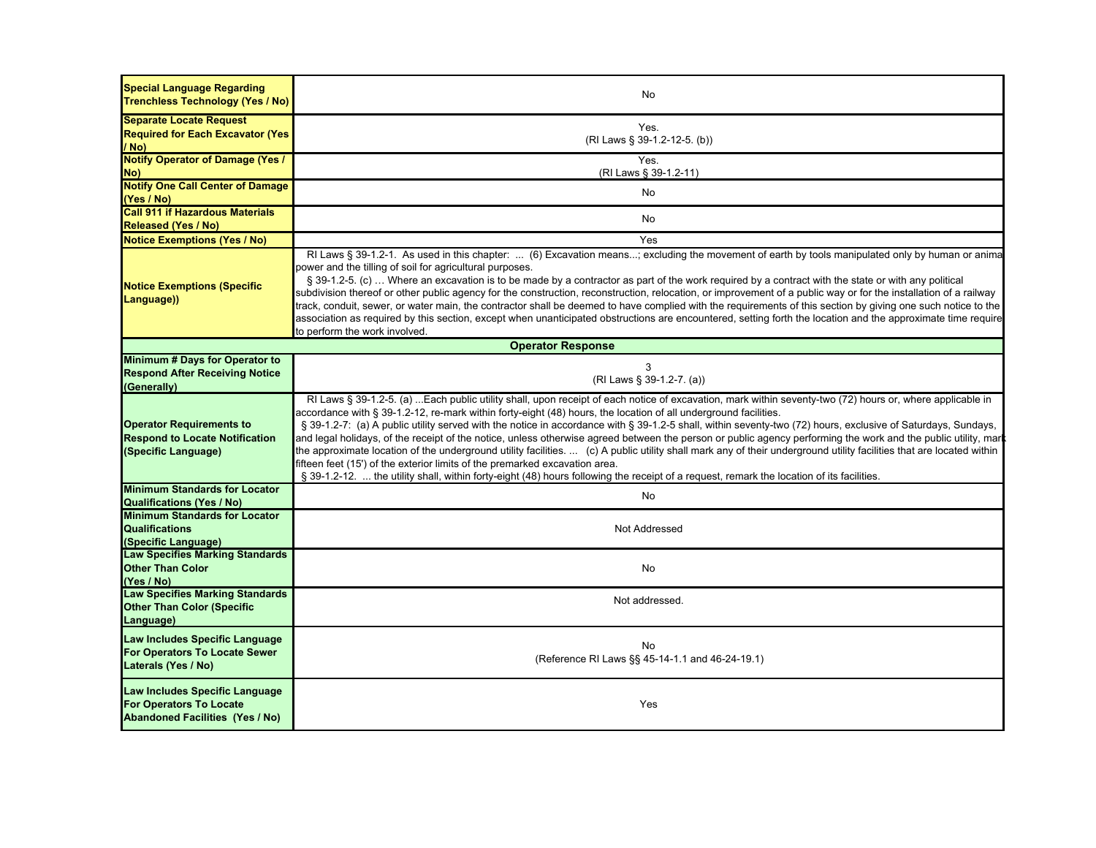| <b>Special Language Regarding</b><br><b>Trenchless Technology (Yes / No)</b>                               | No                                                                                                                                                                                                                                                                                                                                                                                                                                                                                                                                                                                                                                                                                                                                                                                                                                                                                                                                                                                                                |
|------------------------------------------------------------------------------------------------------------|-------------------------------------------------------------------------------------------------------------------------------------------------------------------------------------------------------------------------------------------------------------------------------------------------------------------------------------------------------------------------------------------------------------------------------------------------------------------------------------------------------------------------------------------------------------------------------------------------------------------------------------------------------------------------------------------------------------------------------------------------------------------------------------------------------------------------------------------------------------------------------------------------------------------------------------------------------------------------------------------------------------------|
| <b>Separate Locate Request</b><br><b>Required for Each Excavator (Yes)</b><br>/ No)                        | Yes.<br>(RI Laws § 39-1.2-12-5. (b))                                                                                                                                                                                                                                                                                                                                                                                                                                                                                                                                                                                                                                                                                                                                                                                                                                                                                                                                                                              |
| <b>Notify Operator of Damage (Yes /</b><br>No)                                                             | Yes.<br>(RI Laws § 39-1.2-11)                                                                                                                                                                                                                                                                                                                                                                                                                                                                                                                                                                                                                                                                                                                                                                                                                                                                                                                                                                                     |
| <b>Notify One Call Center of Damage</b><br>(Yes / No)                                                      | No                                                                                                                                                                                                                                                                                                                                                                                                                                                                                                                                                                                                                                                                                                                                                                                                                                                                                                                                                                                                                |
| <b>Call 911 if Hazardous Materials</b><br><b>Released (Yes / No)</b>                                       | No.                                                                                                                                                                                                                                                                                                                                                                                                                                                                                                                                                                                                                                                                                                                                                                                                                                                                                                                                                                                                               |
| <b>Notice Exemptions (Yes / No)</b>                                                                        | Yes                                                                                                                                                                                                                                                                                                                                                                                                                                                                                                                                                                                                                                                                                                                                                                                                                                                                                                                                                                                                               |
| <b>Notice Exemptions (Specific</b><br>Language))                                                           | RI Laws § 39-1.2-1. As used in this chapter:  (6) Excavation means; excluding the movement of earth by tools manipulated only by human or anima<br>power and the tilling of soil for agricultural purposes.<br>§ 39-1.2-5. (c)  Where an excavation is to be made by a contractor as part of the work required by a contract with the state or with any political<br>subdivision thereof or other public agency for the construction, reconstruction, relocation, or improvement of a public way or for the installation of a railway<br>track, conduit, sewer, or water main, the contractor shall be deemed to have complied with the requirements of this section by giving one such notice to the<br>association as required by this section, except when unanticipated obstructions are encountered, setting forth the location and the approximate time require<br>to perform the work involved.                                                                                                            |
|                                                                                                            | <b>Operator Response</b>                                                                                                                                                                                                                                                                                                                                                                                                                                                                                                                                                                                                                                                                                                                                                                                                                                                                                                                                                                                          |
| Minimum # Days for Operator to<br><b>Respond After Receiving Notice</b><br>(Generally)                     | 3<br>(RI Laws § 39-1.2-7. (a))                                                                                                                                                                                                                                                                                                                                                                                                                                                                                                                                                                                                                                                                                                                                                                                                                                                                                                                                                                                    |
| <b>Operator Requirements to</b><br><b>Respond to Locate Notification</b><br>(Specific Language)            | RI Laws § 39-1.2-5. (a)  Each public utility shall, upon receipt of each notice of excavation, mark within seventy-two (72) hours or, where applicable in<br>accordance with § 39-1.2-12, re-mark within forty-eight (48) hours, the location of all underground facilities.<br>§ 39-1.2-7: (a) A public utility served with the notice in accordance with § 39-1.2-5 shall, within seventy-two (72) hours, exclusive of Saturdays, Sundays,<br>and legal holidays, of the receipt of the notice, unless otherwise agreed between the person or public agency performing the work and the public utility, mar<br>the approximate location of the underground utility facilities.  (c) A public utility shall mark any of their underground utility facilities that are located within<br>fifteen feet (15') of the exterior limits of the premarked excavation area.<br>§ 39-1.2-12.  the utility shall, within forty-eight (48) hours following the receipt of a request, remark the location of its facilities. |
| <b>Minimum Standards for Locator</b><br><b>Qualifications (Yes / No)</b>                                   | No                                                                                                                                                                                                                                                                                                                                                                                                                                                                                                                                                                                                                                                                                                                                                                                                                                                                                                                                                                                                                |
| <b>Minimum Standards for Locator</b><br><b>Qualifications</b><br>(Specific Language)                       | Not Addressed                                                                                                                                                                                                                                                                                                                                                                                                                                                                                                                                                                                                                                                                                                                                                                                                                                                                                                                                                                                                     |
| <b>Law Specifies Marking Standards</b><br><b>Other Than Color</b><br>(Yes / No)                            | No                                                                                                                                                                                                                                                                                                                                                                                                                                                                                                                                                                                                                                                                                                                                                                                                                                                                                                                                                                                                                |
| <b>Law Specifies Marking Standards</b><br><b>Other Than Color (Specific</b><br>Language)                   | Not addressed.                                                                                                                                                                                                                                                                                                                                                                                                                                                                                                                                                                                                                                                                                                                                                                                                                                                                                                                                                                                                    |
| Law Includes Specific Language<br>For Operators To Locate Sewer<br>Laterals (Yes / No)                     | No<br>(Reference RI Laws §§ 45-14-1.1 and 46-24-19.1)                                                                                                                                                                                                                                                                                                                                                                                                                                                                                                                                                                                                                                                                                                                                                                                                                                                                                                                                                             |
| Law Includes Specific Language<br><b>For Operators To Locate</b><br><b>Abandoned Facilities (Yes / No)</b> | Yes                                                                                                                                                                                                                                                                                                                                                                                                                                                                                                                                                                                                                                                                                                                                                                                                                                                                                                                                                                                                               |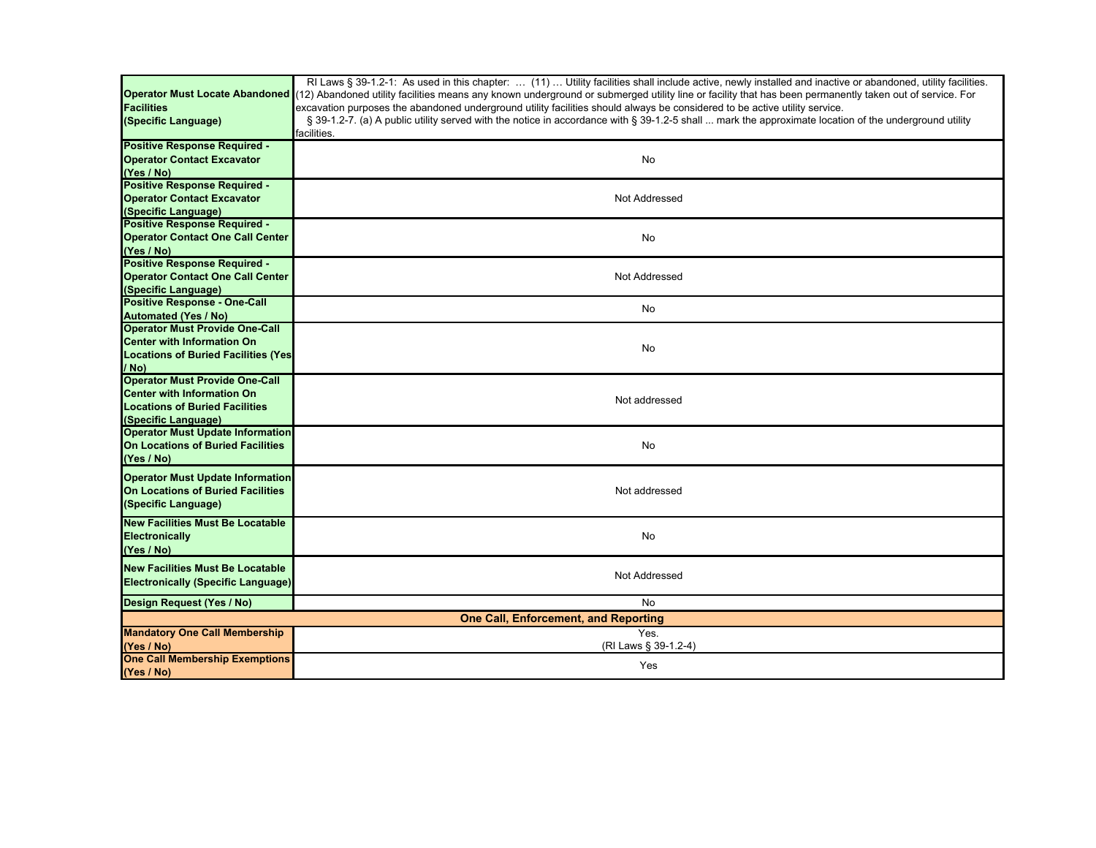| <b>Facilities</b><br>(Specific Language)                                                                                                   | RI Laws § 39-1.2-1: As used in this chapter:  (11)  Utility facilities shall include active, newly installed and inactive or abandoned, utility facilities.<br>Operator Must Locate Abandoned (12) Abandoned utility facilities means any known underground or submerged utility line or facility that has been permanently taken out of service. For<br>excavation purposes the abandoned underground utility facilities should always be considered to be active utility service.<br>§ 39-1.2-7. (a) A public utility served with the notice in accordance with § 39-1.2-5 shall  mark the approximate location of the underground utility<br>facilities. |  |
|--------------------------------------------------------------------------------------------------------------------------------------------|-------------------------------------------------------------------------------------------------------------------------------------------------------------------------------------------------------------------------------------------------------------------------------------------------------------------------------------------------------------------------------------------------------------------------------------------------------------------------------------------------------------------------------------------------------------------------------------------------------------------------------------------------------------|--|
| <b>Positive Response Required -</b><br><b>Operator Contact Excavator</b><br>(Yes / No)                                                     | No                                                                                                                                                                                                                                                                                                                                                                                                                                                                                                                                                                                                                                                          |  |
| <b>Positive Response Required -</b><br><b>Operator Contact Excavator</b><br>(Specific Language)                                            | Not Addressed                                                                                                                                                                                                                                                                                                                                                                                                                                                                                                                                                                                                                                               |  |
| <b>Positive Response Required -</b><br><b>Operator Contact One Call Center</b><br>(Yes / No)                                               | No                                                                                                                                                                                                                                                                                                                                                                                                                                                                                                                                                                                                                                                          |  |
| <b>Positive Response Required -</b><br><b>Operator Contact One Call Center</b><br>(Specific Language)                                      | Not Addressed                                                                                                                                                                                                                                                                                                                                                                                                                                                                                                                                                                                                                                               |  |
| <b>Positive Response - One-Call</b><br><b>Automated (Yes / No)</b>                                                                         | No                                                                                                                                                                                                                                                                                                                                                                                                                                                                                                                                                                                                                                                          |  |
| <b>Operator Must Provide One-Call</b><br><b>Center with Information On</b><br><b>Locations of Buried Facilities (Yes)</b><br>/ No)         | No                                                                                                                                                                                                                                                                                                                                                                                                                                                                                                                                                                                                                                                          |  |
| <b>Operator Must Provide One-Call</b><br><b>Center with Information On</b><br><b>Locations of Buried Facilities</b><br>(Specific Language) | Not addressed                                                                                                                                                                                                                                                                                                                                                                                                                                                                                                                                                                                                                                               |  |
| <b>Operator Must Update Information</b><br>On Locations of Buried Facilities<br>(Yes / No)                                                 | No                                                                                                                                                                                                                                                                                                                                                                                                                                                                                                                                                                                                                                                          |  |
| <b>Operator Must Update Information</b><br><b>On Locations of Buried Facilities</b><br>(Specific Language)                                 | Not addressed                                                                                                                                                                                                                                                                                                                                                                                                                                                                                                                                                                                                                                               |  |
| <b>New Facilities Must Be Locatable</b><br><b>Electronically</b><br>(Yes / No)                                                             | No                                                                                                                                                                                                                                                                                                                                                                                                                                                                                                                                                                                                                                                          |  |
| <b>New Facilities Must Be Locatable</b><br><b>Electronically (Specific Language)</b>                                                       | Not Addressed                                                                                                                                                                                                                                                                                                                                                                                                                                                                                                                                                                                                                                               |  |
| Design Request (Yes / No)                                                                                                                  | No                                                                                                                                                                                                                                                                                                                                                                                                                                                                                                                                                                                                                                                          |  |
| <b>One Call, Enforcement, and Reporting</b>                                                                                                |                                                                                                                                                                                                                                                                                                                                                                                                                                                                                                                                                                                                                                                             |  |
| <b>Mandatory One Call Membership</b><br>(Yes / No)                                                                                         | Yes.<br>(RI Laws § 39-1.2-4)                                                                                                                                                                                                                                                                                                                                                                                                                                                                                                                                                                                                                                |  |
| <b>One Call Membership Exemptions</b><br>(Yes / No)                                                                                        | Yes                                                                                                                                                                                                                                                                                                                                                                                                                                                                                                                                                                                                                                                         |  |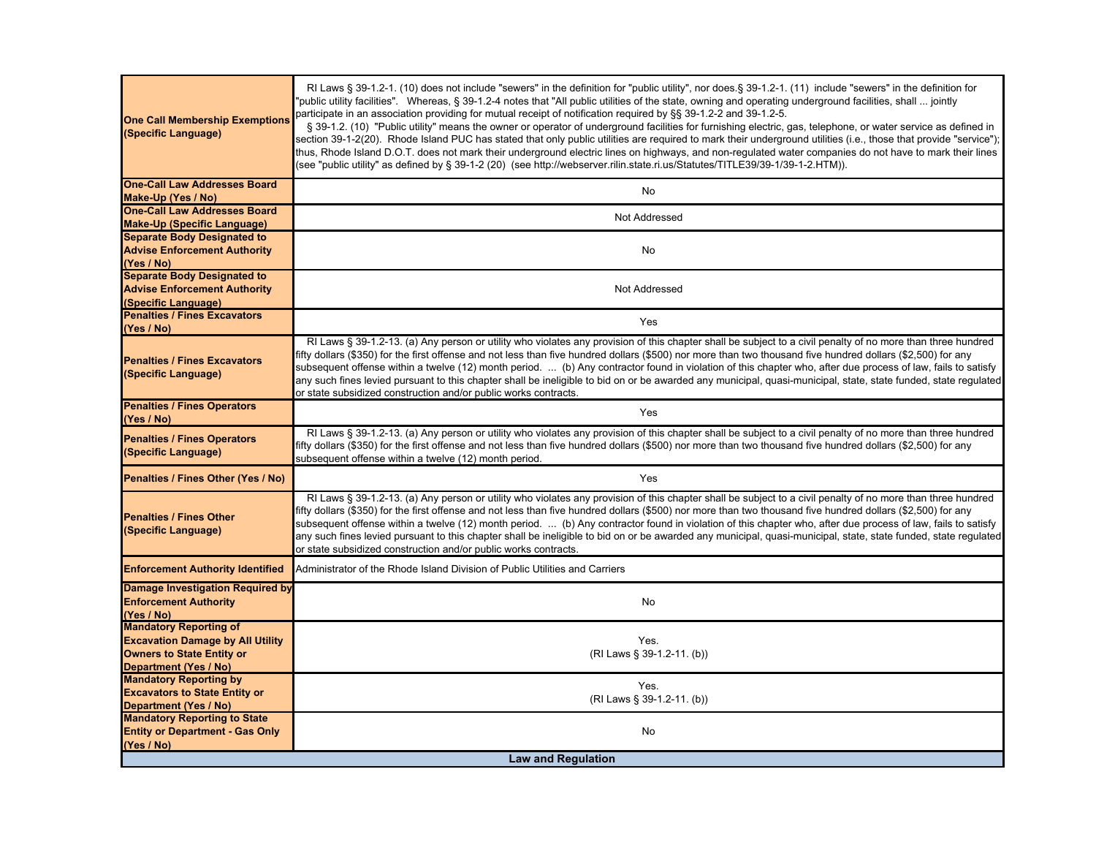| <b>One Call Membership Exemptions</b><br>(Specific Language)                                                 | RI Laws § 39-1.2-1. (10) does not include "sewers" in the definition for "public utility", nor does.§ 39-1.2-1. (11) include "sewers" in the definition for<br>'public utility facilities". Whereas, § 39-1.2-4 notes that "All public utilities of the state, owning and operating underground facilities, shall  jointly<br>participate in an association providing for mutual receipt of notification required by §§ 39-1.2-2 and 39-1.2-5.<br>§ 39-1.2. (10) "Public utility" means the owner or operator of underground facilities for furnishing electric, gas, telephone, or water service as defined in<br>section 39-1-2(20). Rhode Island PUC has stated that only public utilities are required to mark their underground utilities (i.e., those that provide "service");<br>thus, Rhode Island D.O.T. does not mark their underground electric lines on highways, and non-regulated water companies do not have to mark their lines<br>(see "public utility" as defined by § 39-1-2 (20) (see http://webserver.rilin.state.ri.us/Statutes/TITLE39/39-1/39-1-2.HTM)). |  |
|--------------------------------------------------------------------------------------------------------------|----------------------------------------------------------------------------------------------------------------------------------------------------------------------------------------------------------------------------------------------------------------------------------------------------------------------------------------------------------------------------------------------------------------------------------------------------------------------------------------------------------------------------------------------------------------------------------------------------------------------------------------------------------------------------------------------------------------------------------------------------------------------------------------------------------------------------------------------------------------------------------------------------------------------------------------------------------------------------------------------------------------------------------------------------------------------------------|--|
| <b>One-Call Law Addresses Board</b>                                                                          | <b>No</b>                                                                                                                                                                                                                                                                                                                                                                                                                                                                                                                                                                                                                                                                                                                                                                                                                                                                                                                                                                                                                                                                        |  |
| Make-Up (Yes / No)                                                                                           |                                                                                                                                                                                                                                                                                                                                                                                                                                                                                                                                                                                                                                                                                                                                                                                                                                                                                                                                                                                                                                                                                  |  |
| <b>One-Call Law Addresses Board</b>                                                                          | Not Addressed                                                                                                                                                                                                                                                                                                                                                                                                                                                                                                                                                                                                                                                                                                                                                                                                                                                                                                                                                                                                                                                                    |  |
| <b>Make-Up (Specific Language)</b><br><b>Separate Body Designated to</b>                                     |                                                                                                                                                                                                                                                                                                                                                                                                                                                                                                                                                                                                                                                                                                                                                                                                                                                                                                                                                                                                                                                                                  |  |
| <b>Advise Enforcement Authority</b>                                                                          | No                                                                                                                                                                                                                                                                                                                                                                                                                                                                                                                                                                                                                                                                                                                                                                                                                                                                                                                                                                                                                                                                               |  |
| (Yes / No)                                                                                                   |                                                                                                                                                                                                                                                                                                                                                                                                                                                                                                                                                                                                                                                                                                                                                                                                                                                                                                                                                                                                                                                                                  |  |
| <b>Separate Body Designated to</b>                                                                           |                                                                                                                                                                                                                                                                                                                                                                                                                                                                                                                                                                                                                                                                                                                                                                                                                                                                                                                                                                                                                                                                                  |  |
| <b>Advise Enforcement Authority</b>                                                                          | Not Addressed                                                                                                                                                                                                                                                                                                                                                                                                                                                                                                                                                                                                                                                                                                                                                                                                                                                                                                                                                                                                                                                                    |  |
| (Specific Language)                                                                                          |                                                                                                                                                                                                                                                                                                                                                                                                                                                                                                                                                                                                                                                                                                                                                                                                                                                                                                                                                                                                                                                                                  |  |
| <b>Penalties / Fines Excavators</b>                                                                          |                                                                                                                                                                                                                                                                                                                                                                                                                                                                                                                                                                                                                                                                                                                                                                                                                                                                                                                                                                                                                                                                                  |  |
| (Yes / No)                                                                                                   | Yes                                                                                                                                                                                                                                                                                                                                                                                                                                                                                                                                                                                                                                                                                                                                                                                                                                                                                                                                                                                                                                                                              |  |
| <b>Penalties / Fines Excavators</b><br>(Specific Language)                                                   | RI Laws § 39-1.2-13. (a) Any person or utility who violates any provision of this chapter shall be subject to a civil penalty of no more than three hundred<br>fifty dollars (\$350) for the first offense and not less than five hundred dollars (\$500) nor more than two thousand five hundred dollars (\$2,500) for any<br>subsequent offense within a twelve (12) month period.  (b) Any contractor found in violation of this chapter who, after due process of law, fails to satisfy<br>any such fines levied pursuant to this chapter shall be ineligible to bid on or be awarded any municipal, quasi-municipal, state, state funded, state regulated<br>or state subsidized construction and/or public works contracts.                                                                                                                                                                                                                                                                                                                                                |  |
| <b>Penalties / Fines Operators</b><br>(Yes / No)                                                             | Yes                                                                                                                                                                                                                                                                                                                                                                                                                                                                                                                                                                                                                                                                                                                                                                                                                                                                                                                                                                                                                                                                              |  |
| <b>Penalties / Fines Operators</b><br>(Specific Language)                                                    | RI Laws § 39-1.2-13. (a) Any person or utility who violates any provision of this chapter shall be subject to a civil penalty of no more than three hundred<br>iffty dollars (\$350) for the first offense and not less than five hundred dollars (\$500) nor more than two thousand five hundred dollars (\$2,500) for any<br>subsequent offense within a twelve (12) month period.                                                                                                                                                                                                                                                                                                                                                                                                                                                                                                                                                                                                                                                                                             |  |
| Penalties / Fines Other (Yes / No)                                                                           | Yes                                                                                                                                                                                                                                                                                                                                                                                                                                                                                                                                                                                                                                                                                                                                                                                                                                                                                                                                                                                                                                                                              |  |
| <b>Penalties / Fines Other</b><br>(Specific Language)                                                        | RI Laws § 39-1.2-13. (a) Any person or utility who violates any provision of this chapter shall be subject to a civil penalty of no more than three hundred<br>fifty dollars (\$350) for the first offense and not less than five hundred dollars (\$500) nor more than two thousand five hundred dollars (\$2,500) for any<br>subsequent offense within a twelve (12) month period.  (b) Any contractor found in violation of this chapter who, after due process of law, fails to satisfy<br>any such fines levied pursuant to this chapter shall be ineligible to bid on or be awarded any municipal, quasi-municipal, state, state funded, state regulated<br>or state subsidized construction and/or public works contracts.                                                                                                                                                                                                                                                                                                                                                |  |
| <b>Enforcement Authority Identified</b>                                                                      | Administrator of the Rhode Island Division of Public Utilities and Carriers                                                                                                                                                                                                                                                                                                                                                                                                                                                                                                                                                                                                                                                                                                                                                                                                                                                                                                                                                                                                      |  |
| Damage Investigation Required by<br><b>Enforcement Authority</b><br>(Yes / No)                               | No                                                                                                                                                                                                                                                                                                                                                                                                                                                                                                                                                                                                                                                                                                                                                                                                                                                                                                                                                                                                                                                                               |  |
| <b>Mandatory Reporting of</b><br><b>Excavation Damage by All Utility</b><br><b>Owners to State Entity or</b> | Yes.<br>(RI Laws § 39-1.2-11. (b))                                                                                                                                                                                                                                                                                                                                                                                                                                                                                                                                                                                                                                                                                                                                                                                                                                                                                                                                                                                                                                               |  |
| <b>Department (Yes / No)</b>                                                                                 |                                                                                                                                                                                                                                                                                                                                                                                                                                                                                                                                                                                                                                                                                                                                                                                                                                                                                                                                                                                                                                                                                  |  |
| <b>Mandatory Reporting by</b>                                                                                | Yes.                                                                                                                                                                                                                                                                                                                                                                                                                                                                                                                                                                                                                                                                                                                                                                                                                                                                                                                                                                                                                                                                             |  |
| <b>Excavators to State Entity or</b><br><b>Department (Yes / No)</b>                                         | (RI Laws § 39-1.2-11. (b))                                                                                                                                                                                                                                                                                                                                                                                                                                                                                                                                                                                                                                                                                                                                                                                                                                                                                                                                                                                                                                                       |  |
| <b>Mandatory Reporting to State</b>                                                                          |                                                                                                                                                                                                                                                                                                                                                                                                                                                                                                                                                                                                                                                                                                                                                                                                                                                                                                                                                                                                                                                                                  |  |
| <b>Entity or Department - Gas Only</b><br>(Yes / No)                                                         | No                                                                                                                                                                                                                                                                                                                                                                                                                                                                                                                                                                                                                                                                                                                                                                                                                                                                                                                                                                                                                                                                               |  |
| <b>Law and Regulation</b>                                                                                    |                                                                                                                                                                                                                                                                                                                                                                                                                                                                                                                                                                                                                                                                                                                                                                                                                                                                                                                                                                                                                                                                                  |  |